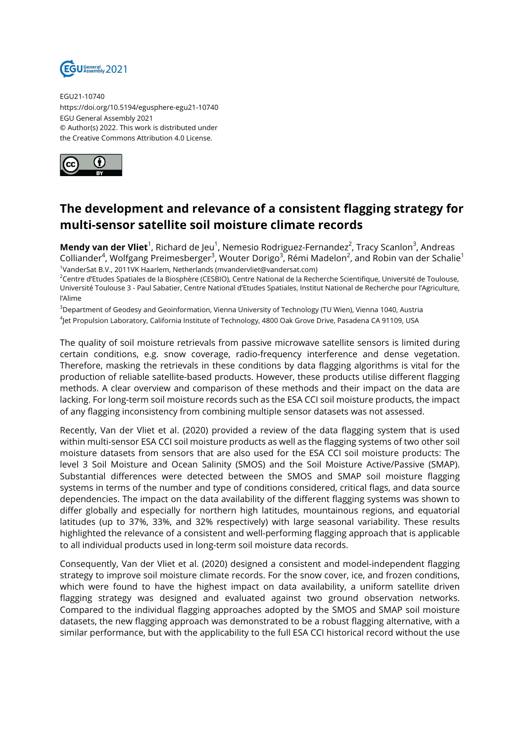

EGU21-10740 https://doi.org/10.5194/egusphere-egu21-10740 EGU General Assembly 2021 © Author(s) 2022. This work is distributed under the Creative Commons Attribution 4.0 License.



## **The development and relevance of a consistent flagging strategy for multi-sensor satellite soil moisture climate records**

**Mendy van der Vliet**<sup>1</sup>, Richard de Jeu<sup>1</sup>, Nemesio Rodriguez-Fernandez<sup>2</sup>, Tracy Scanlon<sup>3</sup>, Andreas Colliander<sup>4</sup>, Wolfgang Preimesberger<sup>3</sup>, Wouter Dorigo<sup>3</sup>, Rémi Madelon<sup>2</sup>, and Robin van der Schalie<sup>1</sup> 1 VanderSat B.V., 2011VK Haarlem, Netherlands (mvandervliet@vandersat.com)

<sup>2</sup>Centre d'Etudes Spatiales de la Biosphère (CESBIO), Centre National de la Recherche Scientifique, Université de Toulouse, Université Toulouse 3 - Paul Sabatier, Centre National d'Etudes Spatiales, Institut National de Recherche pour l'Agriculture, l'Alime

<sup>3</sup>Department of Geodesy and Geoinformation, Vienna University of Technology (TU Wien), Vienna 1040, Austria 4 Jet Propulsion Laboratory, California Institute of Technology, 4800 Oak Grove Drive, Pasadena CA 91109, USA

The quality of soil moisture retrievals from passive microwave satellite sensors is limited during certain conditions, e.g. snow coverage, radio-frequency interference and dense vegetation. Therefore, masking the retrievals in these conditions by data flagging algorithms is vital for the production of reliable satellite-based products. However, these products utilise different flagging methods. A clear overview and comparison of these methods and their impact on the data are lacking. For long-term soil moisture records such as the ESA CCI soil moisture products, the impact of any flagging inconsistency from combining multiple sensor datasets was not assessed.

Recently, Van der Vliet et al. (2020) provided a review of the data flagging system that is used within multi-sensor ESA CCI soil moisture products as well as the flagging systems of two other soil moisture datasets from sensors that are also used for the ESA CCI soil moisture products: The level 3 Soil Moisture and Ocean Salinity (SMOS) and the Soil Moisture Active/Passive (SMAP). Substantial differences were detected between the SMOS and SMAP soil moisture flagging systems in terms of the number and type of conditions considered, critical flags, and data source dependencies. The impact on the data availability of the different flagging systems was shown to differ globally and especially for northern high latitudes, mountainous regions, and equatorial latitudes (up to 37%, 33%, and 32% respectively) with large seasonal variability. These results highlighted the relevance of a consistent and well-performing flagging approach that is applicable to all individual products used in long-term soil moisture data records.

Consequently, Van der Vliet et al. (2020) designed a consistent and model-independent flagging strategy to improve soil moisture climate records. For the snow cover, ice, and frozen conditions, which were found to have the highest impact on data availability, a uniform satellite driven flagging strategy was designed and evaluated against two ground observation networks. Compared to the individual flagging approaches adopted by the SMOS and SMAP soil moisture datasets, the new flagging approach was demonstrated to be a robust flagging alternative, with a similar performance, but with the applicability to the full ESA CCI historical record without the use